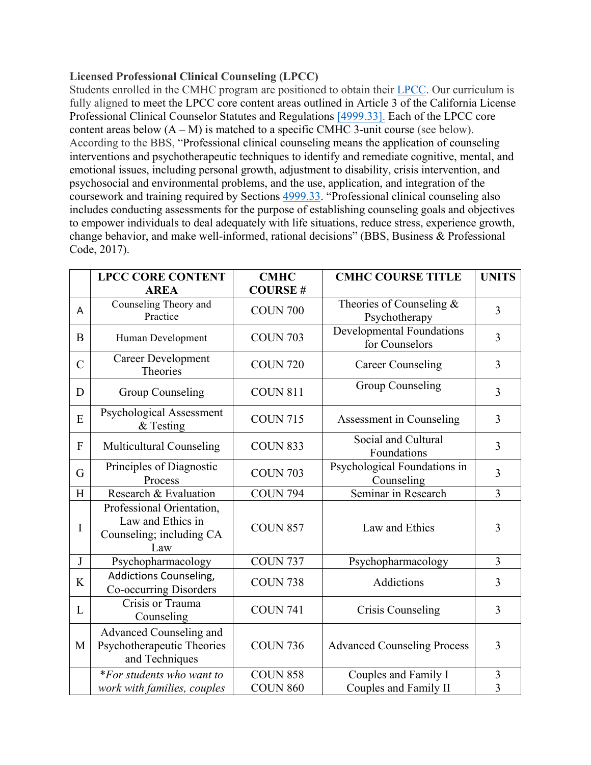## **Licensed Professional Clinical Counseling (LPCC)**

Students enrolled in the CMHC program are positioned to obtain their LPCC. Our curriculum is fully aligned to meet the LPCC core content areas outlined in Article 3 of the California License Professional Clinical Counselor Statutes and Regulations [4999.33]. Each of the LPCC core content areas below  $(A - M)$  is matched to a specific CMHC 3-unit course (see below). According to the BBS, "Professional clinical counseling means the application of counseling interventions and psychotherapeutic techniques to identify and remediate cognitive, mental, and emotional issues, including personal growth, adjustment to disability, crisis intervention, and psychosocial and environmental problems, and the use, application, and integration of the coursework and training required by Sections 4999.33. "Professional clinical counseling also includes conducting assessments for the purpose of establishing counseling goals and objectives to empower individuals to deal adequately with life situations, reduce stress, experience growth, change behavior, and make well-informed, rational decisions" (BBS, Business & Professional Code, 2017).

|                | <b>LPCC CORE CONTENT</b>                                                          | <b>CMHC</b>     | <b>CMHC COURSE TITLE</b>                           | <b>UNITS</b>   |
|----------------|-----------------------------------------------------------------------------------|-----------------|----------------------------------------------------|----------------|
|                | <b>AREA</b>                                                                       | <b>COURSE#</b>  |                                                    |                |
| A              | Counseling Theory and<br>Practice                                                 | <b>COUN 700</b> | Theories of Counseling &<br>Psychotherapy          | $\overline{3}$ |
| B              | Human Development                                                                 | <b>COUN 703</b> | <b>Developmental Foundations</b><br>for Counselors | $\overline{3}$ |
| $\overline{C}$ | Career Development<br>Theories                                                    | <b>COUN 720</b> | <b>Career Counseling</b>                           | $\overline{3}$ |
| D              | <b>Group Counseling</b>                                                           | <b>COUN 811</b> | <b>Group Counseling</b>                            | $\overline{3}$ |
| E              | Psychological Assessment<br>$&$ Testing                                           | <b>COUN 715</b> | Assessment in Counseling                           | 3              |
| $\mathbf{F}$   | Multicultural Counseling                                                          | <b>COUN 833</b> | Social and Cultural<br>Foundations                 | 3              |
| G              | Principles of Diagnostic<br>Process                                               | <b>COUN 703</b> | Psychological Foundations in<br>Counseling         | 3              |
| H              | Research & Evaluation                                                             | <b>COUN 794</b> | Seminar in Research                                | $\overline{3}$ |
| I              | Professional Orientation,<br>Law and Ethics in<br>Counseling; including CA<br>Law | <b>COUN 857</b> | Law and Ethics                                     | 3              |
| J              | Psychopharmacology                                                                | <b>COUN 737</b> | Psychopharmacology                                 | $\overline{3}$ |
| K              | Addictions Counseling,<br>Co-occurring Disorders                                  | <b>COUN 738</b> | Addictions                                         | 3              |
| L              | Crisis or Trauma<br>Counseling                                                    | <b>COUN 741</b> | Crisis Counseling                                  | $\overline{3}$ |
| M              | Advanced Counseling and<br>Psychotherapeutic Theories<br>and Techniques           | <b>COUN 736</b> | <b>Advanced Counseling Process</b>                 | 3              |
|                | *For students who want to                                                         | <b>COUN 858</b> | Couples and Family I                               | 3              |
|                | work with families, couples                                                       | <b>COUN 860</b> | Couples and Family II                              | 3              |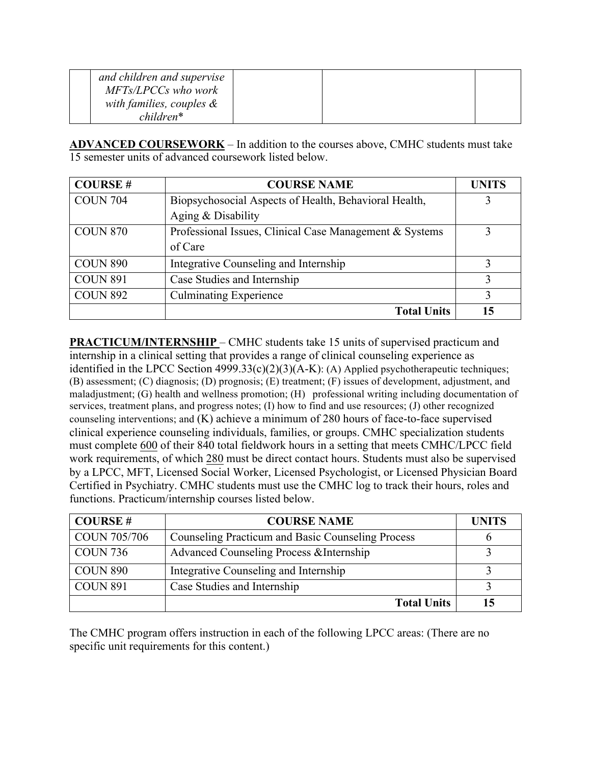| and children and supervise  |  |  |
|-----------------------------|--|--|
| MFTs/LPCCs who work         |  |  |
| with families, couples $\&$ |  |  |
| $children*$                 |  |  |

**ADVANCED COURSEWORK** – In addition to the courses above, CMHC students must take 15 semester units of advanced coursework listed below.

| <b>COURSE#</b>  | <b>COURSE NAME</b>                                      | <b>UNITS</b> |
|-----------------|---------------------------------------------------------|--------------|
| <b>COUN 704</b> | Biopsychosocial Aspects of Health, Behavioral Health,   |              |
|                 | Aging $&$ Disability                                    |              |
| <b>COUN 870</b> | Professional Issues, Clinical Case Management & Systems |              |
|                 | of Care                                                 |              |
| <b>COUN 890</b> | Integrative Counseling and Internship                   |              |
| <b>COUN 891</b> | Case Studies and Internship                             |              |
| <b>COUN 892</b> | <b>Culminating Experience</b>                           | 3            |
|                 | <b>Total Units</b>                                      | 15           |

**PRACTICUM/INTERNSHIP** – CMHC students take 15 units of supervised practicum and internship in a clinical setting that provides a range of clinical counseling experience as identified in the LPCC Section  $4999.33(c)(2)(3)(A-K)$ : (A) Applied psychotherapeutic techniques; (B) assessment; (C) diagnosis; (D) prognosis; (E) treatment; (F) issues of development, adjustment, and maladjustment; (G) health and wellness promotion; (H) professional writing including documentation of services, treatment plans, and progress notes; (I) how to find and use resources; (J) other recognized counseling interventions; and (K) achieve a minimum of 280 hours of face-to-face supervised clinical experience counseling individuals, families, or groups. CMHC specialization students must complete 600 of their 840 total fieldwork hours in a setting that meets CMHC/LPCC field work requirements, of which 280 must be direct contact hours. Students must also be supervised by a LPCC, MFT, Licensed Social Worker, Licensed Psychologist, or Licensed Physician Board Certified in Psychiatry. CMHC students must use the CMHC log to track their hours, roles and functions. Practicum/internship courses listed below.

| <b>COURSE#</b>      | <b>COURSE NAME</b>                                | <b>UNITS</b> |
|---------------------|---------------------------------------------------|--------------|
| <b>COUN 705/706</b> | Counseling Practicum and Basic Counseling Process |              |
| <b>COUN 736</b>     | Advanced Counseling Process & Internship          |              |
| <b>COUN 890</b>     | Integrative Counseling and Internship             |              |
| <b>COUN 891</b>     | Case Studies and Internship                       |              |
|                     | <b>Total Units</b>                                |              |

The CMHC program offers instruction in each of the following LPCC areas: (There are no specific unit requirements for this content.)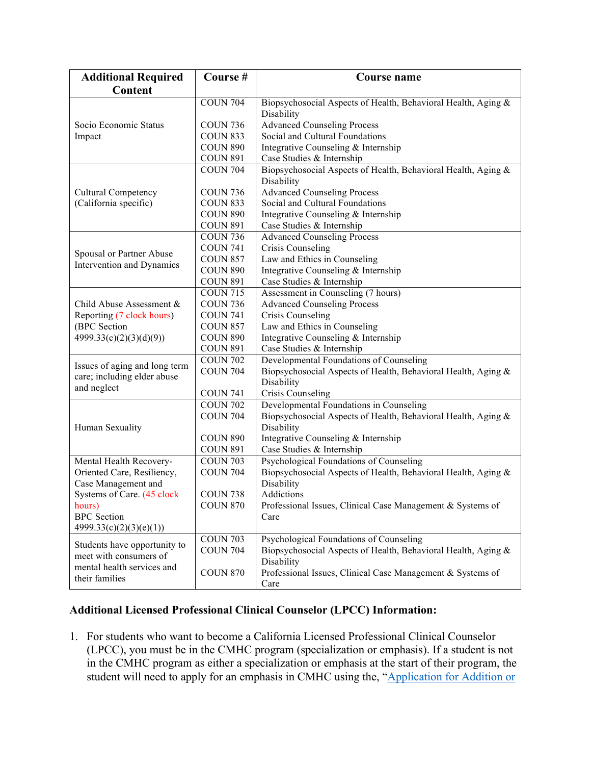| <b>Additional Required</b>    | Course #        | Course name                                                   |  |  |
|-------------------------------|-----------------|---------------------------------------------------------------|--|--|
| Content                       |                 |                                                               |  |  |
|                               | <b>COUN 704</b> | Biopsychosocial Aspects of Health, Behavioral Health, Aging & |  |  |
|                               |                 | Disability                                                    |  |  |
| Socio Economic Status         | <b>COUN 736</b> | <b>Advanced Counseling Process</b>                            |  |  |
| Impact                        | <b>COUN 833</b> | Social and Cultural Foundations                               |  |  |
|                               | <b>COUN 890</b> | Integrative Counseling & Internship                           |  |  |
|                               | <b>COUN 891</b> | Case Studies & Internship                                     |  |  |
|                               | <b>COUN 704</b> | Biopsychosocial Aspects of Health, Behavioral Health, Aging & |  |  |
|                               |                 | Disability                                                    |  |  |
| <b>Cultural Competency</b>    | <b>COUN 736</b> | <b>Advanced Counseling Process</b>                            |  |  |
| (California specific)         | <b>COUN 833</b> | Social and Cultural Foundations                               |  |  |
|                               | <b>COUN 890</b> | Integrative Counseling & Internship                           |  |  |
|                               | <b>COUN 891</b> | Case Studies & Internship                                     |  |  |
|                               | <b>COUN 736</b> | <b>Advanced Counseling Process</b>                            |  |  |
| Spousal or Partner Abuse      | <b>COUN 741</b> | Crisis Counseling                                             |  |  |
| Intervention and Dynamics     | <b>COUN 857</b> | Law and Ethics in Counseling                                  |  |  |
|                               | <b>COUN 890</b> | Integrative Counseling & Internship                           |  |  |
|                               | <b>COUN 891</b> | Case Studies & Internship                                     |  |  |
|                               | <b>COUN 715</b> | Assessment in Counseling (7 hours)                            |  |  |
| Child Abuse Assessment &      | <b>COUN 736</b> | <b>Advanced Counseling Process</b>                            |  |  |
| Reporting (7 clock hours)     | <b>COUN 741</b> | Crisis Counseling                                             |  |  |
| (BPC Section                  | <b>COUN 857</b> | Law and Ethics in Counseling                                  |  |  |
| 4999.33(c)(2)(3)(d)(9))       | <b>COUN 890</b> | Integrative Counseling & Internship                           |  |  |
|                               | <b>COUN 891</b> | Case Studies & Internship                                     |  |  |
| Issues of aging and long term | <b>COUN 702</b> | Developmental Foundations of Counseling                       |  |  |
| care; including elder abuse   | <b>COUN 704</b> | Biopsychosocial Aspects of Health, Behavioral Health, Aging & |  |  |
| and neglect                   |                 | Disability                                                    |  |  |
|                               | <b>COUN 741</b> | Crisis Counseling                                             |  |  |
|                               | <b>COUN 702</b> | Developmental Foundations in Counseling                       |  |  |
|                               | <b>COUN 704</b> | Biopsychosocial Aspects of Health, Behavioral Health, Aging & |  |  |
| Human Sexuality               |                 | Disability                                                    |  |  |
|                               | <b>COUN 890</b> | Integrative Counseling & Internship                           |  |  |
|                               | <b>COUN 891</b> | Case Studies & Internship                                     |  |  |
| Mental Health Recovery-       | <b>COUN 703</b> | Psychological Foundations of Counseling                       |  |  |
| Oriented Care, Resiliency,    | <b>COUN 704</b> | Biopsychosocial Aspects of Health, Behavioral Health, Aging & |  |  |
| Case Management and           |                 | Disability                                                    |  |  |
| Systems of Care. (45 clock    | <b>COUN 738</b> | Addictions                                                    |  |  |
| hours)                        | <b>COUN 870</b> | Professional Issues, Clinical Case Management & Systems of    |  |  |
| <b>BPC</b> Section            |                 | Care                                                          |  |  |
| 4999.33(c)(2)(3)(e)(1))       |                 |                                                               |  |  |
| Students have opportunity to  | <b>COUN 703</b> | Psychological Foundations of Counseling                       |  |  |
| meet with consumers of        | <b>COUN 704</b> | Biopsychosocial Aspects of Health, Behavioral Health, Aging & |  |  |
| mental health services and    |                 | Disability                                                    |  |  |
| their families                | <b>COUN 870</b> | Professional Issues, Clinical Case Management & Systems of    |  |  |
|                               |                 | Care                                                          |  |  |

## **Additional Licensed Professional Clinical Counselor (LPCC) Information:**

1. For students who want to become a California Licensed Professional Clinical Counselor (LPCC), you must be in the CMHC program (specialization or emphasis). If a student is not in the CMHC program as either a specialization or emphasis at the start of their program, the student will need to apply for an emphasis in CMHC using the, "Application for Addition or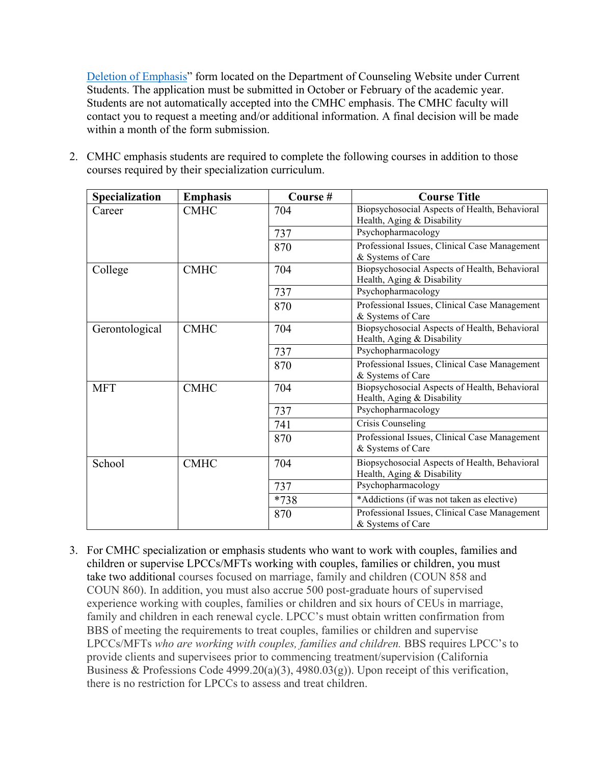Deletion of Emphasis" form located on the Department of Counseling Website under Current Students. The application must be submitted in October or February of the academic year. Students are not automatically accepted into the CMHC emphasis. The CMHC faculty will contact you to request a meeting and/or additional information. A final decision will be made within a month of the form submission.

2. CMHC emphasis students are required to complete the following courses in addition to those courses required by their specialization curriculum.

| Specialization | <b>Emphasis</b> | Course# | <b>Course Title</b>                                                         |
|----------------|-----------------|---------|-----------------------------------------------------------------------------|
| Career         | <b>CMHC</b>     | 704     | Biopsychosocial Aspects of Health, Behavioral<br>Health, Aging & Disability |
|                |                 | 737     | Psychopharmacology                                                          |
|                |                 | 870     | Professional Issues, Clinical Case Management<br>& Systems of Care          |
| College        | <b>CMHC</b>     | 704     | Biopsychosocial Aspects of Health, Behavioral<br>Health, Aging & Disability |
|                |                 | 737     | Psychopharmacology                                                          |
|                |                 | 870     | Professional Issues, Clinical Case Management<br>& Systems of Care          |
| Gerontological | <b>CMHC</b>     | 704     | Biopsychosocial Aspects of Health, Behavioral<br>Health, Aging & Disability |
|                |                 | 737     | Psychopharmacology                                                          |
|                |                 | 870     | Professional Issues, Clinical Case Management<br>& Systems of Care          |
| <b>MFT</b>     | <b>CMHC</b>     | 704     | Biopsychosocial Aspects of Health, Behavioral<br>Health, Aging & Disability |
|                |                 | 737     | Psychopharmacology                                                          |
|                |                 | 741     | Crisis Counseling                                                           |
|                |                 | 870     | Professional Issues, Clinical Case Management<br>& Systems of Care          |
| School         | <b>CMHC</b>     | 704     | Biopsychosocial Aspects of Health, Behavioral<br>Health, Aging & Disability |
|                |                 | 737     | Psychopharmacology                                                          |
|                |                 | $*738$  | *Addictions (if was not taken as elective)                                  |
|                |                 | 870     | Professional Issues, Clinical Case Management<br>& Systems of Care          |

3. For CMHC specialization or emphasis students who want to work with couples, families and children or supervise LPCCs/MFTs working with couples, families or children, you must take two additional courses focused on marriage, family and children (COUN 858 and COUN 860). In addition, you must also accrue 500 post-graduate hours of supervised experience working with couples, families or children and six hours of CEUs in marriage, family and children in each renewal cycle. LPCC's must obtain written confirmation from BBS of meeting the requirements to treat couples, families or children and supervise LPCCs/MFTs *who are working with couples, families and children.* BBS requires LPCC's to provide clients and supervisees prior to commencing treatment/supervision (California Business & Professions Code 4999.20(a)(3), 4980.03(g)). Upon receipt of this verification, there is no restriction for LPCCs to assess and treat children.